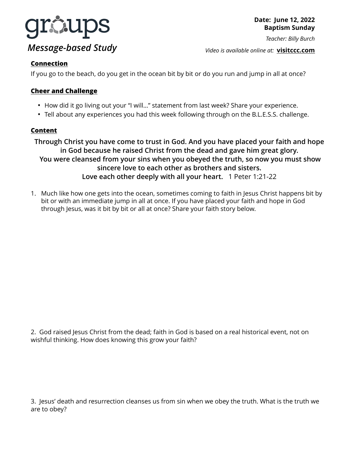

**Date: June 12, 2022 Baptism Sunday**

*Teacher: Billy Burch* 

*Video is available online at:* **[visitccc.com](http://visitccc.com)**

## **Connection**

If you go to the beach, do you get in the ocean bit by bit or do you run and jump in all at once?

## **Cheer and Challenge**

- How did it go living out your "I will…" statement from last week? Share your experience.
- Tell about any experiences you had this week following through on the B.L.E.S.S. challenge.

## **Content**

**Through Christ you have come to trust in God. And you have placed your faith and hope in God because he raised Christ from the dead and gave him great glory. You were cleansed from your sins when you obeyed the truth, so now you must show sincere love to each other as brothers and sisters. Love each other deeply with all your heart.** 1 Peter 1:21-22

1. Much like how one gets into the ocean, sometimes coming to faith in Jesus Christ happens bit by bit or with an immediate jump in all at once. If you have placed your faith and hope in God through Jesus, was it bit by bit or all at once? Share your faith story below.

2. God raised Jesus Christ from the dead; faith in God is based on a real historical event, not on wishful thinking. How does knowing this grow your faith?

3. Jesus' death and resurrection cleanses us from sin when we obey the truth. What is the truth we are to obey?